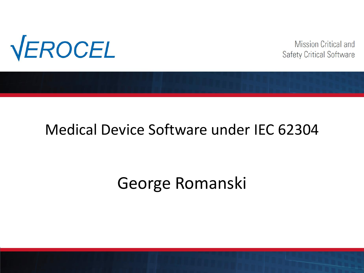

**Mission Critical and** Safety Critical Software

#### Medical Device Software under IEC 62304

# George Romanski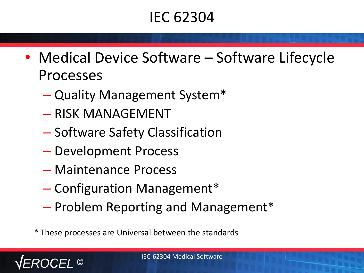# IEC 62304

- Medical Device Software Software Lifecycle Processes
	- Quality Management System\*
	- RISK MANAGEMENT
	- Software Safety Classification
	- Development Process
	- Maintenance Process
	- Configuration Management\*
	- Problem Reporting and Management\*

\* These processes are Universal between the standards

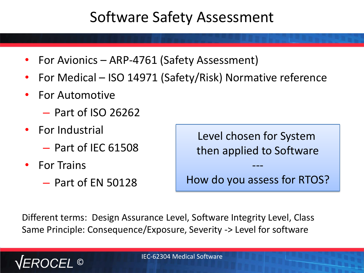## Software Safety Assessment

- For Avionics ARP-4761 (Safety Assessment)
- For Medical ISO 14971 (Safety/Risk) Normative reference
- For Automotive
	- Part of ISO 26262
- For Industrial
	- Part of IEC 61508
- For Trains
	- Part of EN 50128

Level chosen for System then applied to Software

How do you assess for RTOS?

---

Different terms: Design Assurance Level, Software Integrity Level, Class Same Principle: Consequence/Exposure, Severity -> Level for software

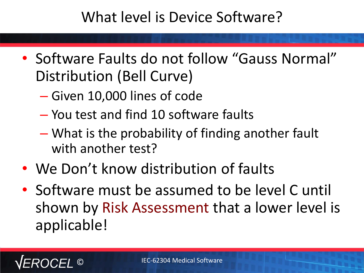#### What level is Device Software?

- Software Faults do not follow "Gauss Normal" Distribution (Bell Curve)
	- Given 10,000 lines of code
	- You test and find 10 software faults
	- What is the probability of finding another fault with another test?
- We Don't know distribution of faults
- Software must be assumed to be level C until shown by Risk Assessment that a lower level is applicable!

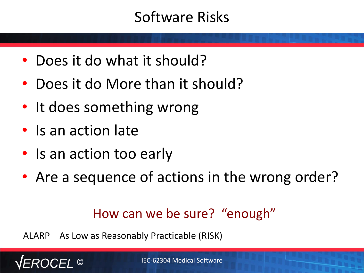## Software Risks

- Does it do what it should?
- Does it do More than it should?
- It does something wrong
- Is an action late
- Is an action too early
- Are a sequence of actions in the wrong order?

How can we be sure? "enough"

ALARP – As Low as Reasonably Practicable (RISK)

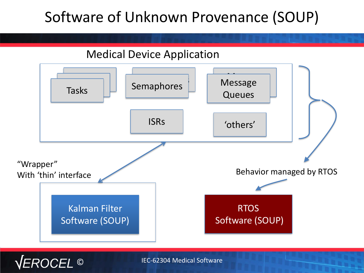# Software of Unknown Provenance (SOUP)



ROCEL ©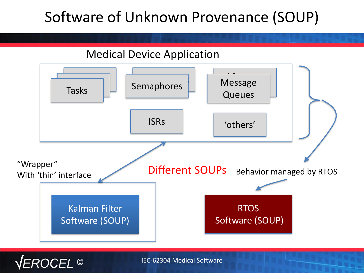# Software of Unknown Provenance (SOUP)



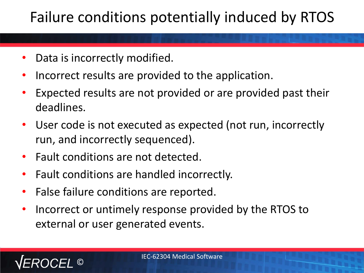# Failure conditions potentially induced by RTOS

- Data is incorrectly modified.
- Incorrect results are provided to the application.
- Expected results are not provided or are provided past their deadlines.
- User code is not executed as expected (not run, incorrectly run, and incorrectly sequenced).
- Fault conditions are not detected.
- Fault conditions are handled incorrectly.
- False failure conditions are reported.
- Incorrect or untimely response provided by the RTOS to external or user generated events.

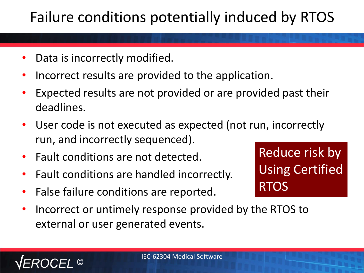# Failure conditions potentially induced by RTOS

- Data is incorrectly modified.
- Incorrect results are provided to the application.
- Expected results are not provided or are provided past their deadlines.
- User code is not executed as expected (not run, incorrectly run, and incorrectly sequenced).
- Fault conditions are not detected.

©

- Fault conditions are handled incorrectly.
- False failure conditions are reported.
- Using Certified RTOS

Reduce risk by

• Incorrect or untimely response provided by the RTOS to external or user generated events.

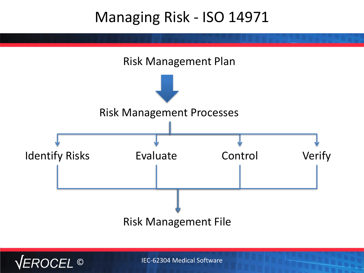#### Managing Risk - ISO 14971



IEC-62304 Medical Software

EROCEL<sup>O</sup>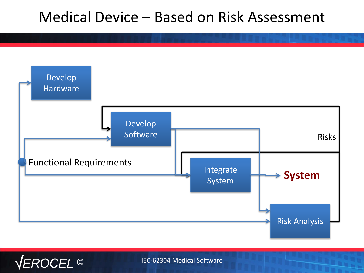#### Medical Device – Based on Risk Assessment



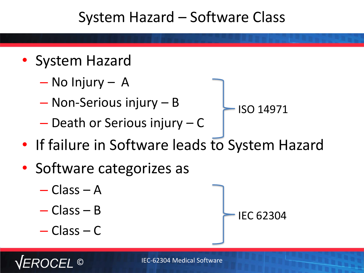#### System Hazard – Software Class

- System Hazard
	- No Injury A
	- Non-Serious injury B
	- Death or Serious injury C
- If failure in Software leads to System Hazard

ISO 14971

IEC 62304

- Software categorizes as
	- Class A
	- Class B
	- Class C

©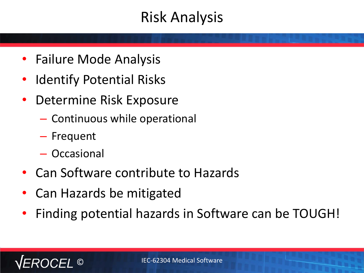## Risk Analysis

- Failure Mode Analysis
- Identify Potential Risks
- Determine Risk Exposure
	- Continuous while operational
	- Frequent
	- Occasional

©

- Can Software contribute to Hazards
- Can Hazards be mitigated
- Finding potential hazards in Software can be TOUGH!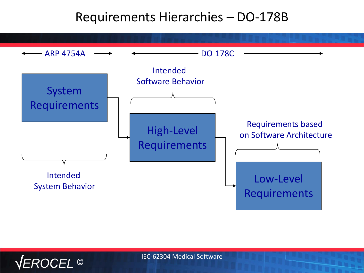#### Requirements Hierarchies – DO-178B



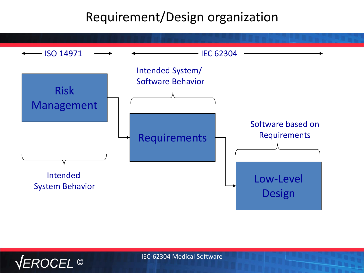#### Requirement/Design organization



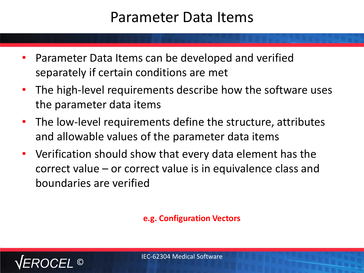#### Parameter Data Items

- Parameter Data Items can be developed and verified separately if certain conditions are met
- The high-level requirements describe how the software uses the parameter data items
- The low-level requirements define the structure, attributes and allowable values of the parameter data items
- Verification should show that every data element has the correct value – or correct value is in equivalence class and boundaries are verified

**e.g. Configuration Vectors**

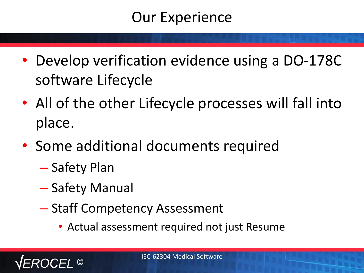## Our Experience

- Develop verification evidence using a DO-178C software Lifecycle
- All of the other Lifecycle processes will fall into place.
- Some additional documents required
	- Safety Plan
	- Safety Manual
	- Staff Competency Assessment
		- Actual assessment required not just Resume

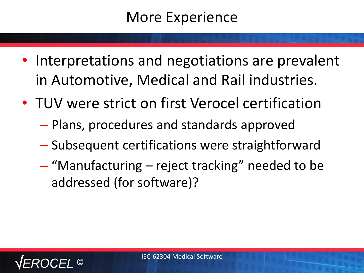#### More Experience

- Interpretations and negotiations are prevalent in Automotive, Medical and Rail industries.
- TUV were strict on first Verocel certification
	- Plans, procedures and standards approved
	- Subsequent certifications were straightforward
	- "Manufacturing reject tracking" needed to be addressed (for software)?

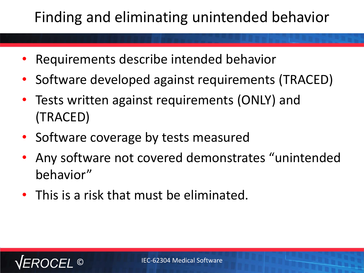# Finding and eliminating unintended behavior

- Requirements describe intended behavior
- Software developed against requirements (TRACED)
- Tests written against requirements (ONLY) and (TRACED)
- Software coverage by tests measured
- Any software not covered demonstrates "unintended behavior"
- This is a risk that must be eliminated.

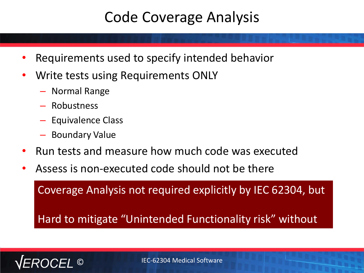#### Code Coverage Analysis

- Requirements used to specify intended behavior
- Write tests using Requirements ONLY
	- Normal Range
	- Robustness
	- Equivalence Class
	- Boundary Value
- Run tests and measure how much code was executed
- Assess is non-executed code should not be there

Coverage Analysis not required explicitly by IEC 62304, but

Hard to mitigate "Unintended Functionality risk" without

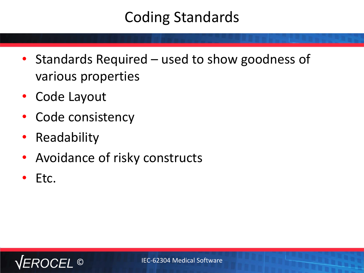# Coding Standards

- Standards Required used to show goodness of various properties
- Code Layout
- Code consistency
- Readability
- Avoidance of risky constructs
- Etc.

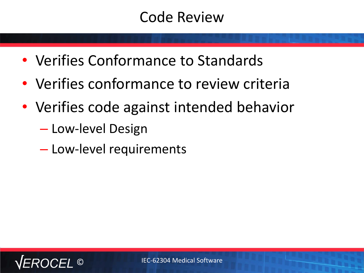#### Code Review

- Verifies Conformance to Standards
- Verifies conformance to review criteria
- Verifies code against intended behavior
	- Low-level Design
	- Low-level requirements

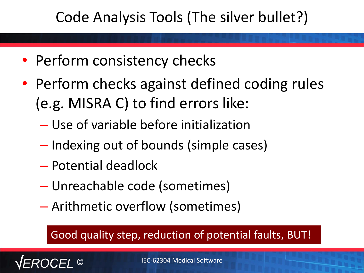# Code Analysis Tools (The silver bullet?)

- Perform consistency checks
- Perform checks against defined coding rules (e.g. MISRA C) to find errors like:
	- Use of variable before initialization
	- Indexing out of bounds (simple cases)
	- Potential deadlock
	- Unreachable code (sometimes)
	- Arithmetic overflow (sometimes)

#### Good quality step, reduction of potential faults, BUT!

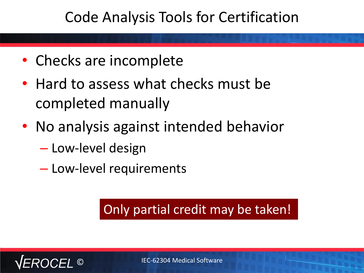#### Code Analysis Tools for Certification

- Checks are incomplete
- Hard to assess what checks must be completed manually
- No analysis against intended behavior
	- Low-level design
	- Low-level requirements

#### Only partial credit may be taken!

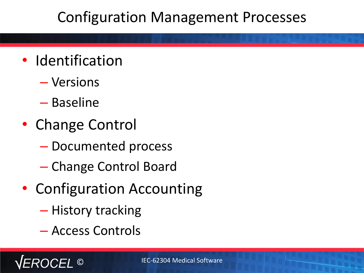## Configuration Management Processes

- Identification
	- Versions
	- Baseline
- Change Control
	- Documented process
	- Change Control Board
- Configuration Accounting
	- History tracking
	- Access Controls

©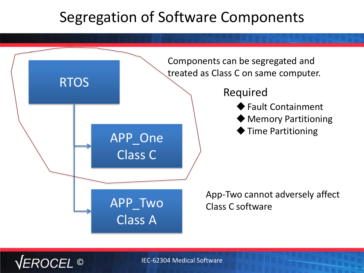#### Segregation of Software Components



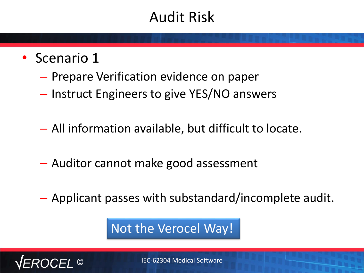## Audit Risk

- Scenario 1
	- Prepare Verification evidence on paper
	- Instruct Engineers to give YES/NO answers
	- All information available, but difficult to locate.
	- Auditor cannot make good assessment
	- Applicant passes with substandard/incomplete audit.

Not the Verocel Way!

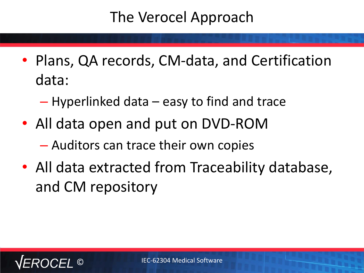## The Verocel Approach

- Plans, QA records, CM-data, and Certification data:
	- Hyperlinked data easy to find and trace
- All data open and put on DVD-ROM – Auditors can trace their own copies
- All data extracted from Traceability database, and CM repository